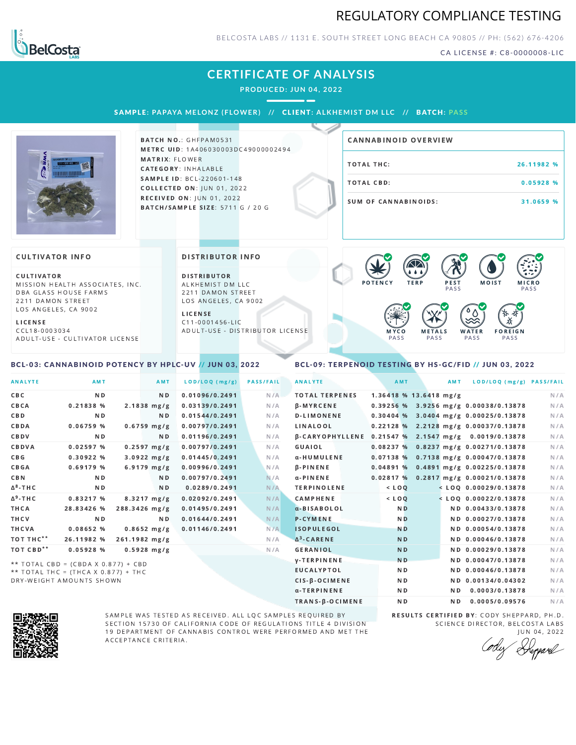## REGULATORY COMPLIANCE TESTING



BELCOSTA LABS // 1131 E. SOUTH STREET LONG BEACH C A 90805 // PH: (562) 676-4206

CA LICENSE #: C8-0000008-LIC

## **CERTIFICATE OF ANALYSIS**

**PRODUCED: JUN 04, 2022**

SAMPLE: PAPAYA MELONZ (FLOWER) // CLIENT: ALKHEMIST DM LLC // BATCH: PASS



BATCH NO.: GHFPAM0531 METRC UID: 1A406030003DC49000002494 MATRIX: FLOWER CATEGORY: INHALABLE SAMPLE ID: BCL-220601-148 **COLLECTED ON: JUN 01, 2022** RECEIVED ON: JUN 01, 2022 BATCH/SAMPLE SIZE: 5711 G / 20 G

# TOTAL THC: 26.11982 % TOTAL CBD: 0.05928 % SUM OF CANNABINOIDS: 31.0659 % CANNABINOID OVERVIEW

#### **CULTIVATOR INFO**

CULTIVATOR MISSION HEALTH ASSOCIATES, INC. DBA GLASS HOUSE FARMS 2211 DAMON STREET LOS ANGELES, CA 9002

L I C E N S E

C C L 1 8 - 0 0 0 3 0 3 4 A D U L T - U S E - C U L T I V A T O R L I CENSE

<span id="page-0-0"></span>BCL-03: CANNABINOID POTENCY BY HPLC-UV // JUN 03, 2022

#### DISTRIBUTOR INFO

D I STRIBUTOR ALKHEMIST DM LLC 2211 DAMON STREET LOS ANGELES, CA 9002

L I C E N S E C 1 1 - 0 0 0 1 4 5 6 - L I C A D U L T - U S E - D I STRIBUTOR LICENSE



### <span id="page-0-1"></span>BCL-09: TERPENOID TESTING BY HS-GC/FID // JUN 03, 2022

| <b>ANALYTE</b>        | AMT                                 |                       | AMT            | LOD/LOQ (mg/g) | <b>PASS/FAIL</b> | <b>ANALYTE</b>         | AMT                      | <b>AMT</b> | LOD/LOQ (mg/g) PASS/FAIL                |     |
|-----------------------|-------------------------------------|-----------------------|----------------|----------------|------------------|------------------------|--------------------------|------------|-----------------------------------------|-----|
| CBC                   | N <sub>D</sub>                      |                       | N <sub>D</sub> | 0.01096/0.2491 | N/A              | <b>TOTAL TERPENES</b>  | $1.36418$ % 13.6418 mg/g |            |                                         | N/A |
| CBCA                  | 0.21838 %                           | $2.1838$ mg/g         |                | 0.03139/0.2491 | N/A              | <b>B-MYRCENE</b>       |                          |            | 0.39256 % 3.9256 mg/g 0.00038/0.13878   | N/A |
| CBD                   | N <sub>D</sub>                      |                       | ND.            | 0.01544/0.2491 | N/A              | <b>D-LIMONENE</b>      |                          |            | 0.30404 % 3.0404 mg/g 0.00025/0.13878   | N/A |
| CBDA                  | 0.06759%                            | $0.6759$ mg/g         |                | 0.00797/0.2491 | N/A              | LINALOOL               |                          |            | 0.22128 % 2.2128 mg/g 0.00037/0.13878   | N/A |
| CBDV                  | N <sub>D</sub>                      |                       | N <sub>D</sub> | 0.01196/0.2491 | N/A              | <b>B-CARYOPHYLLENE</b> |                          |            | $0.21547$ % 2.1547 mg/g 0.0019/0.13878  | N/A |
| CBDVA                 | 0.02597%                            | $0.2597$ mg/g         |                | 0.00797/0.2491 | N/A              | GUAIOL                 |                          |            | 0.08237 % 0.8237 mg/g 0.00271/0.13878   | N/A |
| C B G                 | 0.30922%                            | $3.0922 \, mg/g$      |                | 0.01445/0.2491 | N/A              | α-HUMULENE             |                          |            | $0.07138\%$ 0.7138 mg/g 0.00047/0.13878 | N/A |
| <b>CBGA</b>           | 0.69179%                            | $6.9179$ mg/g         |                | 0.00996/0.2491 | N/A              | $\beta$ -PINENE        | 0.04891%                 |            | 0.4891 mg/g 0.00225/0.13878             | N/A |
| <b>CBN</b>            | N <sub>D</sub>                      |                       | N D            | 0.00797/0.2491 | N/A              | $\alpha$ -PINENE       | 0.02817%                 |            | 0.2817 mg/g 0.00021/0.13878             | N/A |
| $\Delta^8$ -THC       | ND.                                 |                       | ND.            | 0.0289/0.2491  | N/A              | <b>TERPINOLENE</b>     | $<$ LOQ                  |            | $<$ LOQ 0.00029/0.13878                 | N/A |
| $\Delta^9$ -THC       | 0.83217 %                           | $8.3217 \text{ mg/g}$ |                | 0.02092/0.2491 | N/A              | <b>CAMPHENE</b>        | $<$ LOQ                  |            | $<$ LOO 0.00022/0.13878                 | N/A |
| THCA                  | 28.83426 %                          | 288.3426 mg/g         |                | 0.01495/0.2491 | N/A              | a-BISABOLOL            | N <sub>D</sub>           |            | ND 0.00433/0.13878                      | N/A |
| THCV                  | ND.                                 |                       | N <sub>D</sub> | 0.01644/0.2491 | N/A              | <b>P-CYMENE</b>        | N <sub>D</sub>           |            | ND 0.00027/0.13878                      | N/A |
| THCVA                 | 0.08652%                            | $0.8652$ mg/g         |                | 0.01146/0.2491 | N/A              | <b>ISOPULEGOL</b>      | <b>ND</b>                |            | ND 0.00054/0.13878                      | N/A |
| тот тнс**             | 26.11982 %                          | 261.1982 mg/g         |                |                | N/A              | $\Delta^3$ -CARENE     | N <sub>D</sub>           |            | ND 0.00046/0.13878                      | N/A |
| TOT CBD <sup>**</sup> | 0.05928%                            | $0.5928$ mg/g         |                |                | N/A              | <b>GERANIOL</b>        | <b>ND</b>                |            | ND 0.00029/0.13878                      | N/A |
|                       | ** TOTAL CBD = (CBDA X 0.877) + CBD |                       |                |                |                  | <b>V-TERPINENE</b>     | <b>ND</b>                |            | ND 0.00047/0.13878                      | N/A |
|                       | ** TOTAL THC = (THCA X 0.877) + THC |                       |                |                |                  | <b>EUCALYPTOL</b>      | N <sub>D</sub>           |            | ND 0.00046/0.13878                      | N/A |

 $**$  TOTAL THC = (THCA X 0.877) + THC DRY-WEIGHT AMOUNTS SHOWN



SAMPLE WAS TESTED AS RECEIVED. ALL LQC SAMPLES REQUIRED BY SECTION 15730 OF CALIFORNIA CODE OF REGULATIONS TITLE 4 DIVISION 19 DEPARTMENT OF CANNABIS CONTROL WERE PERFORMED AND MET THE A C C E P T A N C E C R I T E R I A.

RESULTS CERTIFIED BY: CODY SHEPPARD, PH.D. SCIENCE DIRECTOR, BELCOSTA LABS J U N 0 4 , 2 0 2 2

CIS-β-OCIMENE ND ND ND 0.00134/0.04302 N/A α-TERPINENE **ND ND 0.0003/0.13878** N/A TRANS-β-OCIMENE ND ND 0.0005/0.09576 N/A

Depard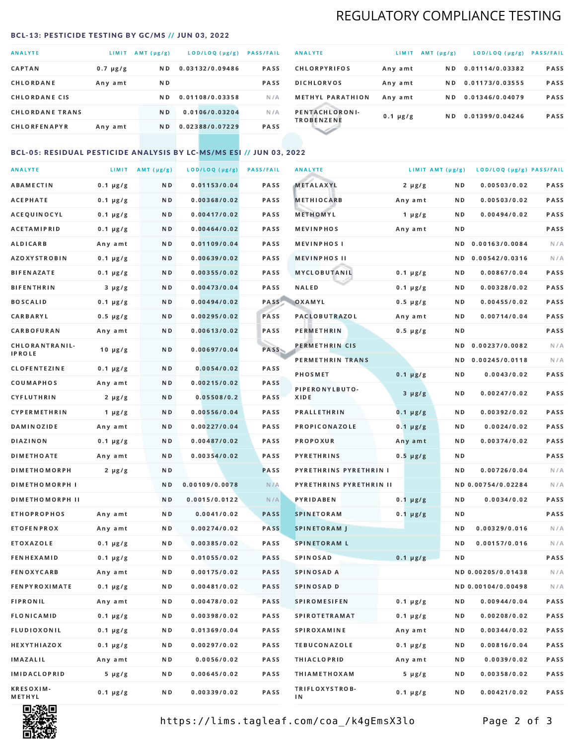## REGULATORY COMPLIANCE TESTING

#### <span id="page-1-0"></span>BCL-13: PESTICIDE TESTING BY GC/MS // JUN 03, 2022

| <b>ANALYTE</b>         | <b>LIMIT</b>  | $AMT(\mu g/g)$ | LOD/LOQ (µg/g)  | <b>PASS/FAIL</b> |
|------------------------|---------------|----------------|-----------------|------------------|
| <b>CAPTAN</b>          | $0.7 \mu g/g$ | N <sub>D</sub> | 0.03132/0.09486 | <b>PASS</b>      |
| CHLORDANE              | Any amt       | N D            |                 | <b>PASS</b>      |
| <b>CHLORDANE CIS</b>   |               | ND.            | 0.01108/0.03358 | N/A              |
| <b>CHLORDANE TRANS</b> |               | N <sub>D</sub> | 0.0106/0.03204  | N/A              |
| <b>CHLORFENAPYR</b>    | Any amt       | N D            | 0.02388/0.07229 | <b>PASS</b>      |

| <b>ANALYTE</b>                      | LIMIT         | $AMT(\mu g/g)$ | LOD/LOQ (µg/g)  | <b>PASS/FAIL</b> |
|-------------------------------------|---------------|----------------|-----------------|------------------|
| <b>CHLORPYRIFOS</b>                 | Any amt       | ND.            | 0.01114/0.03382 | <b>PASS</b>      |
| <b>DICHLORVOS</b>                   | Any amt       | ND.            | 0.01173/0.03555 | PASS             |
| <b>METHYL PARATHION</b>             | Any amt       | ND.            | 0.01346/0.04079 | <b>PASS</b>      |
| PENTACHLORONI-<br><b>TROBENZENE</b> | $0.1 \mu g/g$ | ND.            | 0.01399/0.04246 | <b>PASS</b>      |
|                                     |               |                |                 |                  |

### BCL-05: RESIDUAL PESTICIDE ANALYSIS BY LC-MS/MS ESI // JUN 03, 2022

| <b>ANALYTE</b>         |               | $LIMIT$ AMT ( $\mu g/g$ ) | LOD/LOQ (µg/g) | <b>PASS/FAIL</b> | <b>ANALYTE</b>                |               | LIMIT AMT (µg/g) | LOD/LOQ (µg/g) PASS/FAIL |      |
|------------------------|---------------|---------------------------|----------------|------------------|-------------------------------|---------------|------------------|--------------------------|------|
| <b>ABAMECTIN</b>       | $0.1 \mu g/g$ | N D                       | 0.01153/0.04   | <b>PASS</b>      | <b>METALAXYL</b>              | $2 \mu g/g$   | N D              | 0.00503/0.02             | PASS |
| <b>ACEPHATE</b>        | $0.1 \mu g/g$ | N D                       | 0.00368/0.02   | PASS             | <b>METHIOCARB</b>             | Any amt       | N D              | 0.00503/0.02             | PASS |
| ACEQUINOCYL            | $0.1 \mu g/g$ | N D                       | 0.00417/0.02   | PASS             | METHOMYL                      | 1 $\mu$ g/g   | N D              | 0.00494/0.02             | PASS |
| <b>ACETAMIPRID</b>     | $0.1 \mu g/g$ | N D                       | 0.00464/0.02   | PASS             | <b>MEVINPHOS</b>              | Any amt       | N D              |                          | PASS |
| <b>ALDICARB</b>        | Any amt       | N D                       | 0.01109/0.04   | PASS             | <b>MEVINPHOS I</b>            |               | N D              | 0.00163/0.0084           | N/A  |
| <b>AZOXYSTROBIN</b>    | $0.1 \mu g/g$ | N D                       | 0.00639/0.02   | PASS             | <b>MEVINPHOS II</b>           |               | N D              | 0.00542/0.0316           | N/A  |
| <b>BIFENAZATE</b>      | $0.1 \mu g/g$ | N D                       | 0.00355/0.02   | PASS             | <b>MYCLOBUTANIL</b>           | $0.1 \mu g/g$ | N D              | 0.00867/0.04             | PASS |
| <b>BIFENTHRIN</b>      | $3 \mu g/g$   | N D                       | 0.00473/0.04   | PASS             | <b>NALED</b>                  | $0.1 \mu g/g$ | N D              | 0.00328/0.02             | PASS |
| <b>BOSCALID</b>        | $0.1 \mu g/g$ | N D                       | 0.00494/0.02   | PASS             | OXAMYL                        | $0.5 \mu g/g$ | N D              | 0.00455/0.02             | PASS |
| <b>CARBARYL</b>        | $0.5 \mu g/g$ | N D                       | 0.00295/0.02   | PASS             | PACLOBUTRAZOL                 | Any amt       | N D              | 0.00714/0.04             | PASS |
| CARBOFURAN             | Any amt       | N D                       | 0.00613/0.02   | PASS             | <b>PERMETHRIN</b>             | $0.5 \mu g/g$ | N D              |                          | PASS |
| CHLORANTRANIL-         | $10 \mu g/g$  | N D                       | 0.00697/0.04   | PASS             | PERMETHRIN CIS                |               | N D              | 0.00237/0.0082           | N/A  |
| <b>IPROLE</b>          |               |                           |                |                  | PERMETHRIN TRANS              |               |                  | ND 0.00245/0.0118        | N/A  |
| <b>CLOFENTEZINE</b>    | $0.1 \mu g/g$ | N D                       | 0.0054/0.02    | PASS             | <b>PHOSMET</b>                | $0.1 \mu g/g$ | N D              | 0.0043/0.02              | PASS |
| COUMAPHOS              | Any amt       | N D                       | 0.00215/0.02   | PASS             | PIPERONYLBUTO-                | $3 \mu g/g$   | N D              | 0.00247/0.02             | PASS |
| CYFLUTHRIN             | $2 \mu g/g$   | N D                       | 0.05508/0.2    | <b>PASS</b>      | XIDE                          |               |                  |                          |      |
| <b>CYPERMETHRIN</b>    | $1 \mu g/g$   | N D                       | 0.00556/0.04   | PASS             | <b>PRALLETHRIN</b>            | $0.1 \mu g/g$ | N D              | 0.00392/0.02             | PASS |
| <b>DAMINOZIDE</b>      | Any amt       | N D                       | 0.00227/0.04   | PASS             | PROPICONAZOLE                 | $0.1 \mu g/g$ | N D              | 0.0024/0.02              | PASS |
| <b>DIAZINON</b>        | $0.1 \mu g/g$ | N D                       | 0.00487/0.02   | PASS             | PROPOXUR                      | Any amt       | N D              | 0.00374/0.02             | PASS |
| <b>DIMETHOATE</b>      | Any amt       | N D                       | 0.00354/0.02   | PASS             | <b>PYRETHRINS</b>             | $0.5 \mu g/g$ | N D              |                          | PASS |
| <b>DIMETHOMORPH</b>    | $2 \mu g/g$   | N D                       |                | PASS             | <b>PYRETHRINS PYRETHRIN I</b> |               | N D              | 0.00726/0.04             | N/A  |
| <b>DIMETHOMORPH I</b>  |               | N D                       | 0.00109/0.0078 | N/A              | PYRETHRINS PYRETHRIN II       |               |                  | ND 0.00754/0.02284       | N/A  |
| <b>DIMETHOMORPH II</b> |               | N D                       | 0.0015/0.0122  | N/A              | <b>PYRIDABEN</b>              | $0.1 \mu g/g$ | N D              | 0.0034/0.02              | PASS |
| <b>ETHOPROPHOS</b>     | Any amt       | N D                       | 0.0041/0.02    | <b>PASS</b>      | <b>SPINETORAM</b>             | $0.1 \mu g/g$ | N D              |                          | PASS |
| <b>ETOFENPROX</b>      | Any amt       | N D                       | 0.00274/0.02   | <b>PASS</b>      | <b>SPINETORAM J</b>           |               | N D              | 0.00329/0.016            | N/A  |
| ETOXAZOLE              | $0.1 \mu g/g$ | N D                       | 0.00385/0.02   | <b>PASS</b>      | <b>SPINETORAM L</b>           |               | N D              | 0.00157/0.016            | N/A  |
| <b>FENHEXAMID</b>      | $0.1 \mu g/g$ | N D                       | 0.01055/0.02   | PASS             | <b>SPINOSAD</b>               | $0.1 \mu g/g$ | N D              |                          | PASS |
| <b>FENOXYCARB</b>      | Any amt       | N D                       | 0.00175/0.02   | <b>PASS</b>      | SPINOSAD A                    |               |                  | ND 0.00205/0.01438       | N/A  |
| <b>FENPYROXIMATE</b>   | $0.1 \mu g/g$ | N D                       | 0.00481/0.02   | PASS             | SPINOSAD D                    |               |                  | ND 0.00104/0.00498       | N/A  |
| <b>FIPRONIL</b>        | Any amt       | N D                       | 0.00478/0.02   | PASS             | <b>SPIROMESIFEN</b>           | $0.1 \mu g/g$ | N D              | 0.00944/0.04             | PASS |
| <b>FLONICAMID</b>      | $0.1 \mu g/g$ | N D                       | 0.00398/0.02   | PASS             | <b>SPIROTETRAMAT</b>          | $0.1 \mu g/g$ | N D              | 0.00208/0.02             | PASS |
| FLUDIOXONIL            | $0.1 \mu g/g$ | N D                       | 0.01369/0.04   | PASS             | <b>SPIROXAMINE</b>            | Any amt       | N D              | 0.00344/0.02             | PASS |
| HEXYTHIAZOX            | $0.1 \mu g/g$ | N D                       | 0.00297/0.02   | PASS             | <b>TEBUCONAZOLE</b>           | $0.1 \mu g/g$ | N D              | 0.00816/0.04             | PASS |
| IMAZALIL               | Any amt       | N D                       | 0.0056/0.02    | PASS             | <b>THIACLOPRID</b>            | Any amt       | N D              | 0.0039/0.02              | PASS |
| <b>IMIDACLOPRID</b>    | $5 \mu g/g$   | N D                       | 0.00645/0.02   | PASS             | <b>THIAMETHOXAM</b>           | $5 \mu g/g$   | N D              | 0.00358/0.02             | PASS |
| KRESOXIM-<br>METHYL    | $0.1 \mu g/g$ | N D                       | 0.00339/0.02   | PASS             | TRIFLOXYSTROB-<br>ΙN          | $0.1 \mu g/g$ | N D              | 0.00421/0.02             | PASS |